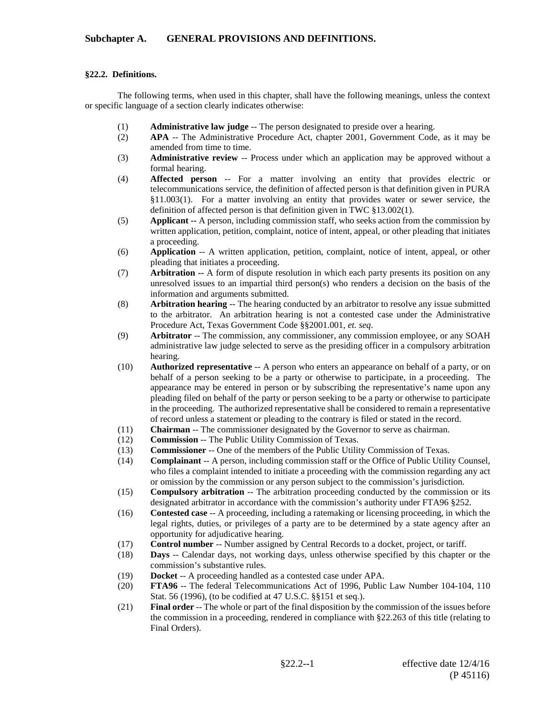## **§22.2. Definitions.**

The following terms, when used in this chapter, shall have the following meanings, unless the context or specific language of a section clearly indicates otherwise:

- (1) **Administrative law judge** -- The person designated to preside over a hearing.
- (2) **APA** -- The Administrative Procedure Act, chapter 2001, Government Code, as it may be amended from time to time.
- (3) **Administrative review** -- Process under which an application may be approved without a formal hearing.
- (4) **Affected person** -- For a matter involving an entity that provides electric or telecommunications service, the definition of affected person is that definition given in PURA §11.003(1). For a matter involving an entity that provides water or sewer service, the definition of affected person is that definition given in TWC §13.002(1).
- (5) **Applicant --** A person, including commission staff, who seeks action from the commission by written application, petition, complaint, notice of intent, appeal, or other pleading that initiates a proceeding.
- (6) **Application** -- A written application, petition, complaint, notice of intent, appeal, or other pleading that initiates a proceeding.
- (7) **Arbitration --** A form of dispute resolution in which each party presents its position on any unresolved issues to an impartial third person(s) who renders a decision on the basis of the information and arguments submitted.
- (8) **Arbitration hearing** -- The hearing conducted by an arbitrator to resolve any issue submitted to the arbitrator. An arbitration hearing is not a contested case under the Administrative Procedure Act, Texas Government Code §§2001.001, *et. seq*.
- (9) **Arbitrator** -- The commission, any commissioner, any commission employee, or any SOAH administrative law judge selected to serve as the presiding officer in a compulsory arbitration hearing.
- (10) **Authorized representative** -- A person who enters an appearance on behalf of a party, or on behalf of a person seeking to be a party or otherwise to participate, in a proceeding. The appearance may be entered in person or by subscribing the representative's name upon any pleading filed on behalf of the party or person seeking to be a party or otherwise to participate in the proceeding. The authorized representative shall be considered to remain a representative of record unless a statement or pleading to the contrary is filed or stated in the record.
- (11) **Chairman** -- The commissioner designated by the Governor to serve as chairman.<br>(12) **Commission** -- The Public Utility Commission of Texas.
- Commission -- The Public Utility Commission of Texas.
- (13) **Commissioner** -- One of the members of the Public Utility Commission of Texas.
- (14) **Complainant** -- A person, including commission staff or the Office of Public Utility Counsel, who files a complaint intended to initiate a proceeding with the commission regarding any act or omission by the commission or any person subject to the commission's jurisdiction.
- (15) **Compulsory arbitration** -- The arbitration proceeding conducted by the commission or its designated arbitrator in accordance with the commission's authority under FTA96 §252.
- (16) **Contested case** -- A proceeding, including a ratemaking or licensing proceeding, in which the legal rights, duties, or privileges of a party are to be determined by a state agency after an opportunity for adjudicative hearing.
- (17) **Control number** -- Number assigned by Central Records to a docket, project, or tariff.
- (18) **Days** -- Calendar days, not working days, unless otherwise specified by this chapter or the commission's substantive rules.
- (19) **Docket** -- A proceeding handled as a contested case under APA.
- (20) **FTA96** -- The federal Telecommunications Act of 1996, Public Law Number 104-104, 110 Stat. 56 (1996), (to be codified at 47 U.S.C. §§151 et seq.).
- (21) **Final order** -- The whole or part of the final disposition by the commission of the issues before the commission in a proceeding, rendered in compliance with §22.263 of this title (relating to Final Orders).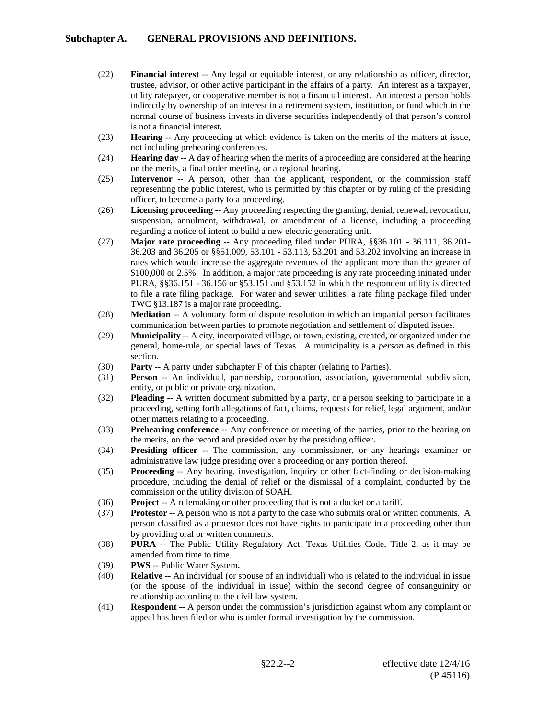- (22) **Financial interest** -- Any legal or equitable interest, or any relationship as officer, director, trustee, advisor, or other active participant in the affairs of a party. An interest as a taxpayer, utility ratepayer, or cooperative member is not a financial interest. An interest a person holds indirectly by ownership of an interest in a retirement system, institution, or fund which in the normal course of business invests in diverse securities independently of that person's control is not a financial interest.
- (23) **Hearing** -- Any proceeding at which evidence is taken on the merits of the matters at issue, not including prehearing conferences.
- (24) **Hearing day** -- A day of hearing when the merits of a proceeding are considered at the hearing on the merits, a final order meeting, or a regional hearing.
- (25) **Intervenor** -- A person, other than the applicant, respondent, or the commission staff representing the public interest, who is permitted by this chapter or by ruling of the presiding officer, to become a party to a proceeding.
- (26) **Licensing proceeding** -- Any proceeding respecting the granting, denial, renewal, revocation, suspension, annulment, withdrawal, or amendment of a license, including a proceeding regarding a notice of intent to build a new electric generating unit.
- (27) **Major rate proceeding** -- Any proceeding filed under PURA, §§36.101 36.111, 36.201- 36.203 and 36.205 or §§51.009, 53.101 - 53.113, 53.201 and 53.202 involving an increase in rates which would increase the aggregate revenues of the applicant more than the greater of \$100,000 or 2.5%. In addition, a major rate proceeding is any rate proceeding initiated under PURA, §§36.151 - 36.156 or §53.151 and §53.152 in which the respondent utility is directed to file a rate filing package. For water and sewer utilities, a rate filing package filed under TWC §13.187 is a major rate proceeding.
- (28) **Mediation** -- A voluntary form of dispute resolution in which an impartial person facilitates communication between parties to promote negotiation and settlement of disputed issues.
- (29) **Municipality** -- A city, incorporated village, or town, existing, created, or organized under the general, home-rule, or special laws of Texas. A municipality is a *person* as defined in this section.
- (30) **Party** -- A party under subchapter F of this chapter (relating to Parties).
- (31) **Person** -- An individual, partnership, corporation, association, governmental subdivision, entity, or public or private organization.
- (32) **Pleading** -- A written document submitted by a party, or a person seeking to participate in a proceeding, setting forth allegations of fact, claims, requests for relief, legal argument, and/or other matters relating to a proceeding.
- (33) **Prehearing conference** -- Any conference or meeting of the parties, prior to the hearing on the merits, on the record and presided over by the presiding officer.
- (34) **Presiding officer** -- The commission, any commissioner, or any hearings examiner or administrative law judge presiding over a proceeding or any portion thereof.
- (35) **Proceeding** -- Any hearing, investigation, inquiry or other fact-finding or decision-making procedure, including the denial of relief or the dismissal of a complaint, conducted by the commission or the utility division of SOAH.
- (36) **Project** -- A rulemaking or other proceeding that is not a docket or a tariff.
- (37) **Protestor** -- A person who is not a party to the case who submits oral or written comments. A person classified as a protestor does not have rights to participate in a proceeding other than by providing oral or written comments.
- (38) **PURA** -- The Public Utility Regulatory Act, Texas Utilities Code, Title 2, as it may be amended from time to time.
- (39) **PWS** -- Public Water System**.**
- (40) **Relative** -- An individual (or spouse of an individual) who is related to the individual in issue (or the spouse of the individual in issue) within the second degree of consanguinity or relationship according to the civil law system.
- (41) **Respondent** -- A person under the commission's jurisdiction against whom any complaint or appeal has been filed or who is under formal investigation by the commission.